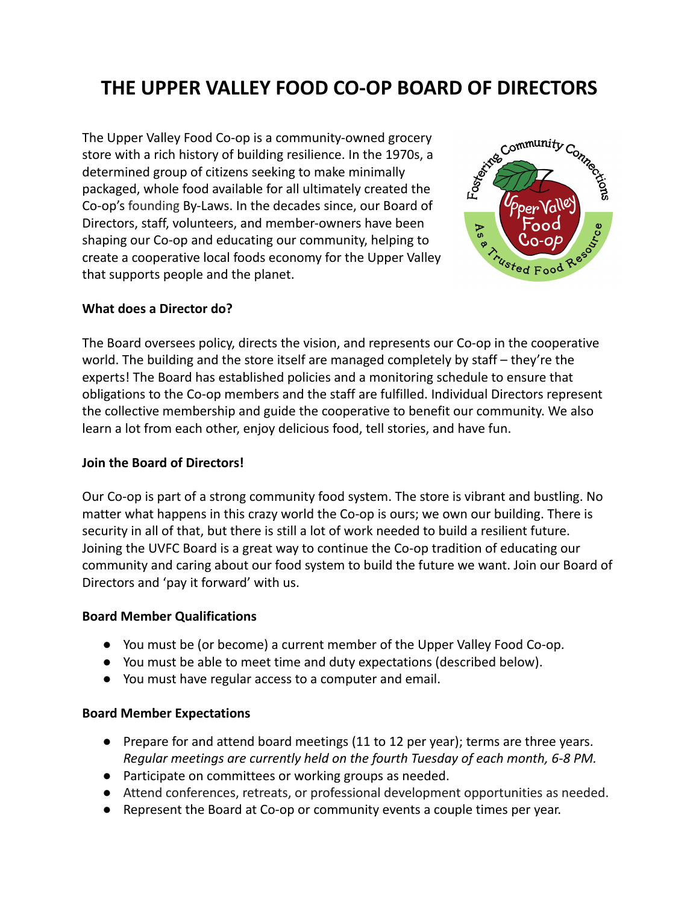# **THE UPPER VALLEY FOOD CO-OP BOARD OF DIRECTORS**

The Upper Valley Food Co-op is a community-owned grocery store with a rich history of building resilience. In the 1970s, a determined group of citizens seeking to make minimally packaged, whole food available for all ultimately created the Co-op's [founding](https://www.dropbox.com/home/Upper%20Valley%20Coop/3.%20by-laws?preview=Current+Bylaws.pdf) By-Laws. In the decades since, our Board of Directors, staff, volunteers, and member-owners have been shaping our Co-op and educating our community, helping to create a cooperative local foods economy for the Upper Valley that supports people and the planet.



### **What does a Director do?**

The Board oversees policy, directs the vision, and represents our Co-op in the cooperative world. The building and the store itself are managed completely by staff – they're the experts! The Board has established policies and a monitoring schedule to ensure that obligations to the Co-op members and the staff are fulfilled. Individual Directors represent the collective membership and guide the cooperative to benefit our community. We also learn a lot from each other, enjoy delicious food, tell stories, and have fun.

#### **Join the Board of Directors!**

Our Co-op is part of a strong community food system. The store is vibrant and bustling. No matter what happens in this crazy world the Co-op is ours; we own our building. There is security in all of that, but there is still a lot of work needed to build a resilient future. Joining the UVFC Board is a great way to continue the Co-op tradition of educating our community and caring about our food system to build the future we want. Join our Board of Directors and 'pay it forward' with us.

### **Board Member Qualifications**

- You must be (or become) a current member of the Upper Valley Food Co-op.
- You must be able to meet time and duty expectations (described below).
- You must have regular access to a computer and email.

### **Board Member Expectations**

- Prepare for and attend board meetings (11 to 12 per year); terms are three years. *Regular meetings are currently held on the fourth Tuesday of each month, 6-8 PM.*
- Participate on committees or working groups as needed.
- Attend conferences, retreats, or professional development opportunities as needed.
- Represent the Board at Co-op or community events a couple times per year.